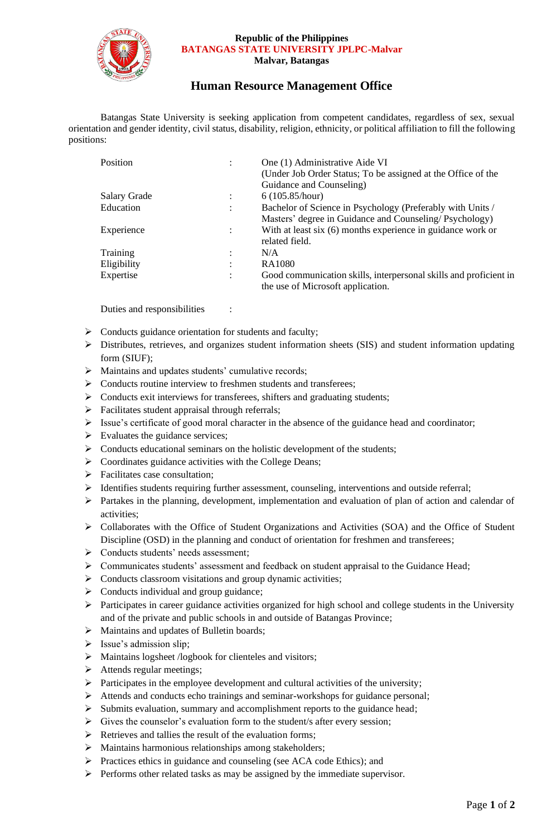

#### **Republic of the Philippines BATANGAS STATE UNIVERSITY JPLPC-Malvar Malvar, Batangas**

## **Human Resource Management Office**

Batangas State University is seeking application from competent candidates, regardless of sex, sexual orientation and gender identity, civil status, disability, religion, ethnicity, or political affiliation to fill the following positions:

| Position            | $\ddot{\cdot}$ | One (1) Administrative Aide VI<br>(Under Job Order Status; To be assigned at the Office of the<br>Guidance and Counseling) |
|---------------------|----------------|----------------------------------------------------------------------------------------------------------------------------|
| <b>Salary Grade</b> |                | 6(105.85/hour)                                                                                                             |
| Education           | ٠              | Bachelor of Science in Psychology (Preferably with Units /                                                                 |
|                     |                | Masters' degree in Guidance and Counseling/Psychology)                                                                     |
| Experience          | $\ddot{\cdot}$ | With at least six (6) months experience in guidance work or                                                                |
|                     |                | related field.                                                                                                             |
| Training            | ٠              | N/A                                                                                                                        |
| Eligibility         | ٠              | RA1080                                                                                                                     |
| Expertise           | ٠              | Good communication skills, interpersonal skills and proficient in<br>the use of Microsoft application.                     |

Duties and responsibilities :

- ➢ Conducts guidance orientation for students and faculty;
- ➢ Distributes, retrieves, and organizes student information sheets (SIS) and student information updating form (SIUF);
- ➢ Maintains and updates students' cumulative records;
- ➢ Conducts routine interview to freshmen students and transferees;
- ➢ Conducts exit interviews for transferees, shifters and graduating students;
- $\triangleright$  Facilitates student appraisal through referrals;
- $\triangleright$  Issue's certificate of good moral character in the absence of the guidance head and coordinator;
- $\triangleright$  Evaluates the guidance services;
- ➢ Conducts educational seminars on the holistic development of the students;
- ➢ Coordinates guidance activities with the College Deans;
- ➢ Facilitates case consultation;
- ➢ Identifies students requiring further assessment, counseling, interventions and outside referral;
- ➢ Partakes in the planning, development, implementation and evaluation of plan of action and calendar of activities;
- ➢ Collaborates with the Office of Student Organizations and Activities (SOA) and the Office of Student Discipline (OSD) in the planning and conduct of orientation for freshmen and transferees;
- ➢ Conducts students' needs assessment;
- ➢ Communicates students' assessment and feedback on student appraisal to the Guidance Head;
- ➢ Conducts classroom visitations and group dynamic activities;
- ➢ Conducts individual and group guidance;
- ➢ Participates in career guidance activities organized for high school and college students in the University and of the private and public schools in and outside of Batangas Province;
- ➢ Maintains and updates of Bulletin boards;
- ➢ Issue's admission slip;
- ➢ Maintains logsheet /logbook for clienteles and visitors;
- ➢ Attends regular meetings;
- ➢ Participates in the employee development and cultural activities of the university;
- ➢ Attends and conducts echo trainings and seminar-workshops for guidance personal;
- ➢ Submits evaluation, summary and accomplishment reports to the guidance head;
- ➢ Gives the counselor's evaluation form to the student/s after every session;
- ➢ Retrieves and tallies the result of the evaluation forms;
- ➢ Maintains harmonious relationships among stakeholders;
- ➢ Practices ethics in guidance and counseling (see ACA code Ethics); and
- ➢ Performs other related tasks as may be assigned by the immediate supervisor.